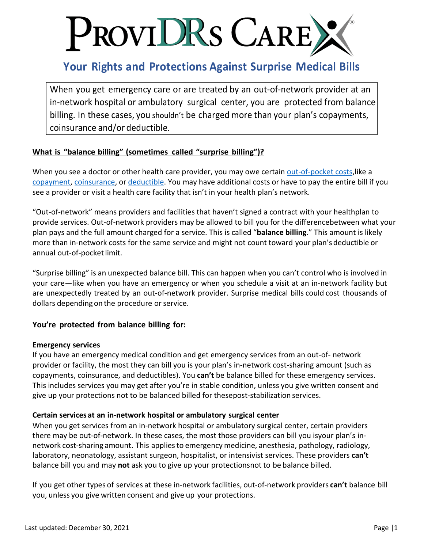# PROVIDRS CARE

# **Your Rights and Protections Against Surprise Medical Bills**

When you get emergency care or are treated by an out-of-network provider at an in-network hospital or ambulatory surgical center, you are protected from balance billing. In these cases, you shouldn't be charged more than your plan's copayments, coinsurance and/or deductible.

### **What is "balance billing" (sometimes called "surprise billing")?**

When you see a doctor or other health care provider, you may owe certain [out-of-pocket costs,](https://www.healthcare.gov/glossary/out-of-pocket-costs/) like a [copayment,](https://www.healthcare.gov/glossary/co-payment/) [coinsurance,](https://www.healthcare.gov/glossary/co-insurance/) or [deductible.](https://www.healthcare.gov/glossary/deductible/) You may have additional costs or have to pay the entire bill if you see a provider or visit a health care facility that isn't in your health plan's network.

"Out-of-network" means providers and facilities that haven't signed a contract with your healthplan to provide services. Out-of-network providers may be allowed to bill you for the differencebetween what your plan pays and the full amount charged for a service. This is called "**balance billing**." This amount is likely more than in-network costs for the same service and might not count toward your plan's deductible or annual out-of-pocket limit.

"Surprise billing" is an unexpected balance bill. This can happen when you can't control who is involved in your care—like when you have an emergency or when you schedule a visit at an in-network facility but are unexpectedly treated by an out-of-network provider. Surprise medical bills could cost thousands of dollars depending on the procedure or service.

## **You're protected from balance billing for:**

#### **Emergency services**

If you have an emergency medical condition and get emergency services from an out-of- network provider or facility, the most they can bill you is your plan's in-network cost-sharing amount (such as copayments, coinsurance, and deductibles). You **can't** be balance billed for these emergency services. This includes services you may get after you're in stable condition, unless you give written consent and give up your protections not to be balanced billed for thesepost-stabilization services.

#### **Certain services at an in-network hospital or ambulatory surgical center**

When you get services from an in-network hospital or ambulatory surgical center, certain providers there may be out-of-network. In these cases, the most those providers can bill you isyour plan's innetwork cost-sharing amount. This applies to emergency medicine, anesthesia, pathology, radiology, laboratory, neonatology, assistant surgeon, hospitalist, or intensivist services. These providers **can't**  balance bill you and may **not** ask you to give up your protectionsnot to be balance billed.

If you get other types of services at these in-network facilities, out-of-network providers **can't** balance bill you, unless you give written consent and give up your protections.